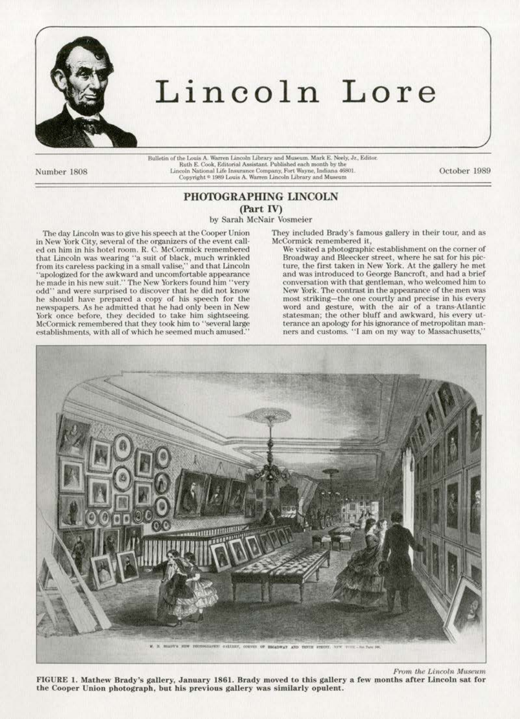

## Lincoln Lore

Number 1808

 $\label{thm:main}$  Bulletin of the Louis A. Warren Lincoln Library and Museum. Mark E. Neely, Jr., Editor. Ruth E. Cook, Editorial Assistant. Published each month by the Lincoln National Life Insurance Company, Fort Wayne, Indian

October 1989

## PHOTOGRAPHING LINCOLN

(Part IV)

by Sarah McNair Vosmeier

The day Lincoln was to give his speech at the Cooper Union in New York City, several of the organizers of the event called on him in his hotel room. R. C. McCormick remembered<br>that Lincoln was wearing "a suit of black, much wrinkled from its careless packing in a small valise," and that Lincoln "apologized for the awkward and uncomfortable appearance<br>he made in his new suit." The New Yorkers found him "very<br>odd" and were surprised to discover that he did not know he should have prepared a copy of his speech for the newspapers. As he admitted that he had only been in New York once before, they decided to take him sightseeing. McCormick remembered that they took him to "several large establishments, with all of which he seemed much amused.'

They included Brady's famous gallery in their tour, and as McCormick remembered it,

We visited a photographic establishment on the corner of Broadway and Bleecker street, where he sat for his picture, the first taken in New York. At the gallery he met and was introduced to George Bancroft, and had a brief conversation with that gentleman, who welcomed him to New York. The contrast in the appearance of the men was nost striking—the one courtly and precise in his every<br>word and gesture, with the air of a trans-Atlantic<br>statesman; the other bluff and awkward, his every utterance an apology for his ignorance of metropolitan manners and customs. "I am on my way to Massachusetts,"



From the Lincoln Museum FIGURE 1. Mathew Brady's gallery, January 1861. Brady moved to this gallery a few months after Lincoln sat for the Cooper Union photograph, but his previous gallery was similarly opulent.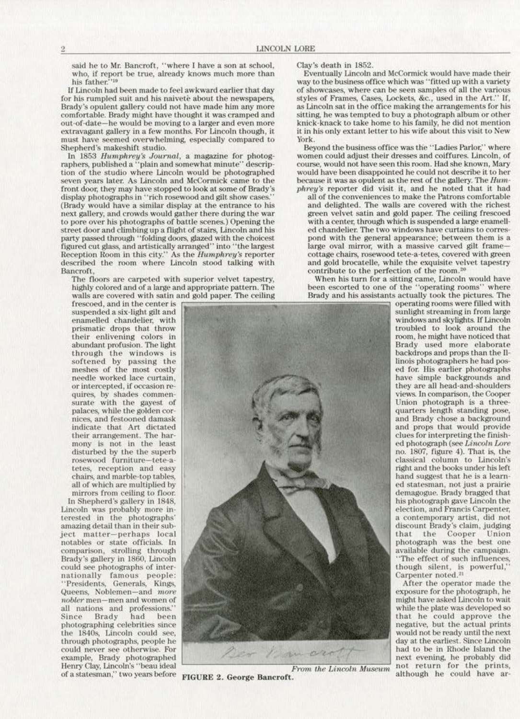said he to Mr. Bancroft, "where I have a son at school, Clay's death in 1852.<br>who, if report be true, already knows much more than Eventually Lincoln and

out of date—he would be moving to a larger and even more extravagant gallery in a few months. For Lincoln though, it must have seemed overwhelming, especially compared to Shepherd's makeshift studio.

raphers, published a "plain and somewhat minute" description of the studio where Lincoln would be photographed seven years later. As Lincoln and McCormick came to the because it was as opulent as the rest of the gallery. The Hum-<br>front door, they may have stopped to look at some of Brady's phrey's reporter did visit it, and he note display photographs in "rich rosewood and gilt show cases." (Brady would have a similar display at the entrance to his next gallery, and crowds would gather there during the war green velvet satin and gold paper. The ceiling frescoed<br>to pore over his photographs of battle scenes.) Opening the with a center, through which is suspended a lar to pore over his photographs of battle scenes.) Opening the with a center, through which is suspended a large enamell-<br>street door and climbing up a flight of stairs, Lincoln and his ed chandelier. The two windows have cur party passed through "folding doors, glazed with the choicest and with the general appearance; between them is a<br>figured cut glass, and artistically arranged'' into "the largest large oval mirror, with a massive carved gil figured cut glass, and artistically arranged" into "the largest large oval mirror, with a massive carved gilt frame—<br>Reception Room in this city." As the *Humphrey's* reporter cottage chairs, rosewood tete-a-tetes, covered Reception Room in this city." As the Humphrey's reporter cottage chairs, rosewood tete-a-tetes, covered with green described the room where Lincoln stood talking with and gold brocatelle, while the exquisite velvet tapestry described the room where Lincoln stood talking with and gold brocatelle, while the exquisite velvet tapestry<br>Bancroft, contribute to the perfection of the room.<sup>20</sup><br>The floors are carpeted with superior velvet tapestry, Wh

walls are covered with satin and gold paper. The ceiling Brady and his assistants actually took the pictures. The frescoed, and in the center is

softened by passing the<br>meshes of the most costly quires, by shades commen-<br>surate with the gayest of their arrangement. The har-<br>mony is not in the least tetes, reception and easy<br>chairs, and marble-top tables.

Lincoln was probably more in-<br>terested in the photographs' notables or state officials. In comparison, strolling through all nations and professions.''<br>Since Brady had been photographing celebrities since<br>the 1840s, Lincoln could see,

who, if report be true, already knows much more than Eventually Lincoln and McCormick would have made their<br>his father.''<sup>19</sup> his father.<sup>519</sup> way to the business office which was "fitted up with a variety<br>If Lincoln had been made to feel awkward earlier that day of showcases, where can be seen samples of all the various If Lincoln had been made to feel awkward earlier that day of showcases, where can be seen samples of all the various for his rumpled suit and his naivete about the newspapers, styles of Frames, Cases, Lockets, &c., used in for his rumpled suit and his naivete about the newspapers, styles of Frames, Cases, Lockets, &c., used in the Art." If, Brady's opulent gallery could not have made him any more as Lincoln sat in the office making the arran Brady's opulent gallery could not have made him any more as Lincoln sat in the office making the arrangements for his comfortable. Brady might have thought it was cramped and sitting, he was tempted to buy a photograph alb sitting, he was tempted to buy a photograph album or other<br>knick-knack to take home to his family, he did not mention it in his only extant letter to his wife about this visit to New York.

Beyond the business office was the "Ladies Parlor," where<br>women could adjust their dresses and coiffures. Lincoln, of ln 1853 *Humphrey's Journal*, a magazine for photog- women could adjust their dresses and coiffures. Lincoln, of phers, published a "plain and somewhat minute" descrip- course, would not have seen this room. Had she known, tion of the studio where Lincoln would be photographed would have been disappointed he could not describe it to her<br>seven years later. As Lincoln and McCormick came to the because it was as opulent as the rest of the galle

phrey's reporter did visit it, and he noted that it had all of the conveniences to make the Patrons comfortable and delighted. The walls are covered with the richest green velvet satin and gold paper. The ceiling frescoed

The floors are carpeted with superior velvet tapestry, When his tum for a sitting came, Lincoln would have highly colored and of a large and appropriate pattern. The been escorted to one of the "operating rooms" where



backdrops and props than the II-<br>linois photographers he had posthey are all head-and-shoulders<br>views. In comparison, the Cooper and props that would provide<br>clues for interpreting the finishclassical column to Lincoln's<br>right and the books under his left his photograph gave Lincoln the<br>election, and Francis Carpenter, discount Brady's claim, judging<br>that the Cooper Union "The effect of such influences, Carpenter noted.<sup>21</sup>

might have asked Lincoln to wait<br>while the plate was developed so that he could approve the<br>negative, but the actual prints would not be ready until the next Henry Clay, Lincoln's "beau ideal From the Lincoln Museum not return for the prints, Henry Clay, Lincoln's "beau ideal From the Lincoln Museum" not return for the prints, of a statesman," two years before FIGURE 2. George Bancroft.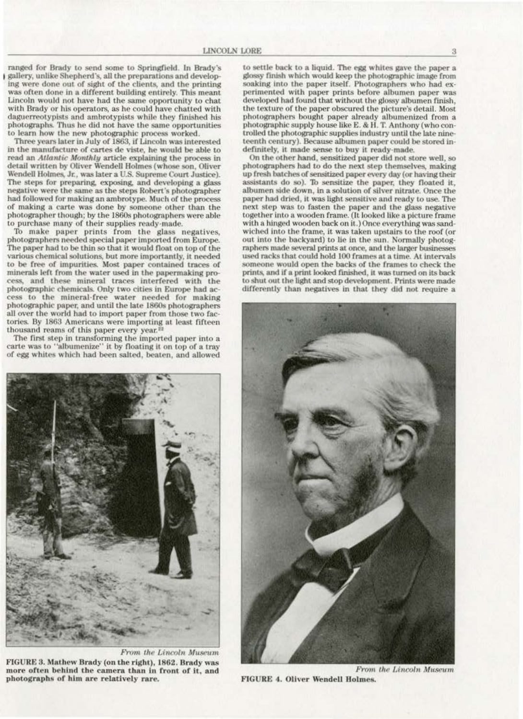ranged for Brady to send some to Springfield. In Brady's 1 gallery, unlike Shepherd's, all the preparations and developing were done out of sight of the clients, and the printing was often done in a different building entirely. This meant Lincoln would not have had the same opportunity to chat with Brady or his operators, as he could have chatted with daguerreotypists and ambrotypists while they finished his photographs. Thus he did not have the same opportunities to learn how the new photographic process worked.

Three years later in July of 1863, if Lincoln was interested **in the manufacture of canes de viste, he would be able to**  read an Atlantic Monthly article explaining the process in detail written by Oliver Wendell Holmes (whose son, Oliver Wendell Holmes, Jr., was later a U.S. Supreme Court Justice). The steps for preparing, exposing, and developing a glass negative were the same as the steps Robert's photographer had followed for making an ambrotype. Much of the process of making a carte was done by someone other than the photographer though; by the 1860s photographers were able **to purchase many of their supplies ready·mnde.** 

To make paper prints from the glass negatives, photographers needed special paper imported from Europe. The paper had to be thin so that it would float on top of the various chemical solutions, but more importantly, It needed to be free of impurities. Most paper contained traces of minerals left from the water used in the papermaking process, and these mineral traces interfered with the photographic chemicals. Only two cities in Europe had access to the mineral-free water needed for making photographic paper, and until the late 1860s photographers all *over* the world had to import paper from those two factories. By 1863 Americans were importing at least fifteen thousand reams of this paper every year.<sup>2</sup>

The first step in transforming the imported paper into a carte was to "albumenize" it by floating it on top of a tray of egg whites which had been salted, beaten, and allowed

to settle back to a liquid. The egg whites gave the paper a glossy finish which would keep the photographic image from soaking into the paper itself. Photographers who had experimented with paper prints before albumen paper was developed had found that without the glossy albumen finish, the texture of the paper obscured the picture's detail. Most photographers bought paper already albumenized from a photographic supply house like E. & H. T. Anthony (who controlled the photographic supplies industry until the late nineteenth century). Because albumen paper could be stored in-<br>definitely, it made sense to buy it ready-made.

On the other hand, sensitized paper did not store well, so photographers had to do the next step themselves, making up fresh batches of sensitized paper every day (or having their assistants do so). To sensitize the paper, they floated it, **albumen side down, in a solution or silver nitrate. Onoe the**  paper had dried, it was light sensitive and ready to use. The next step was to fasten the paper and the glass negative together Into a wooden frame. (It looked like a picture frame with a hinged wooden back on it.) Once everything was sandwiched Into the frame, it was taken upstairs to the roof (or out into the backyard) to lie in the sun. Normally photographers made several prints at once, and the larger businesses used racks that could hold 100 frames at a time. At intervals someone would open the backs of the frames to check the prints, and if a print looked finished, it was turned on its back to shut out the light and stop development. Prints were made differently than negatives in that they did not require a



FIGURE 4. Oliver Wendell Holmes.



From the Lincoln Museum FIGURE 3. Mathew Brady (on the right), 1862. Brady was more often behind the camera than in front of it, and photographs of him are relatively rare.